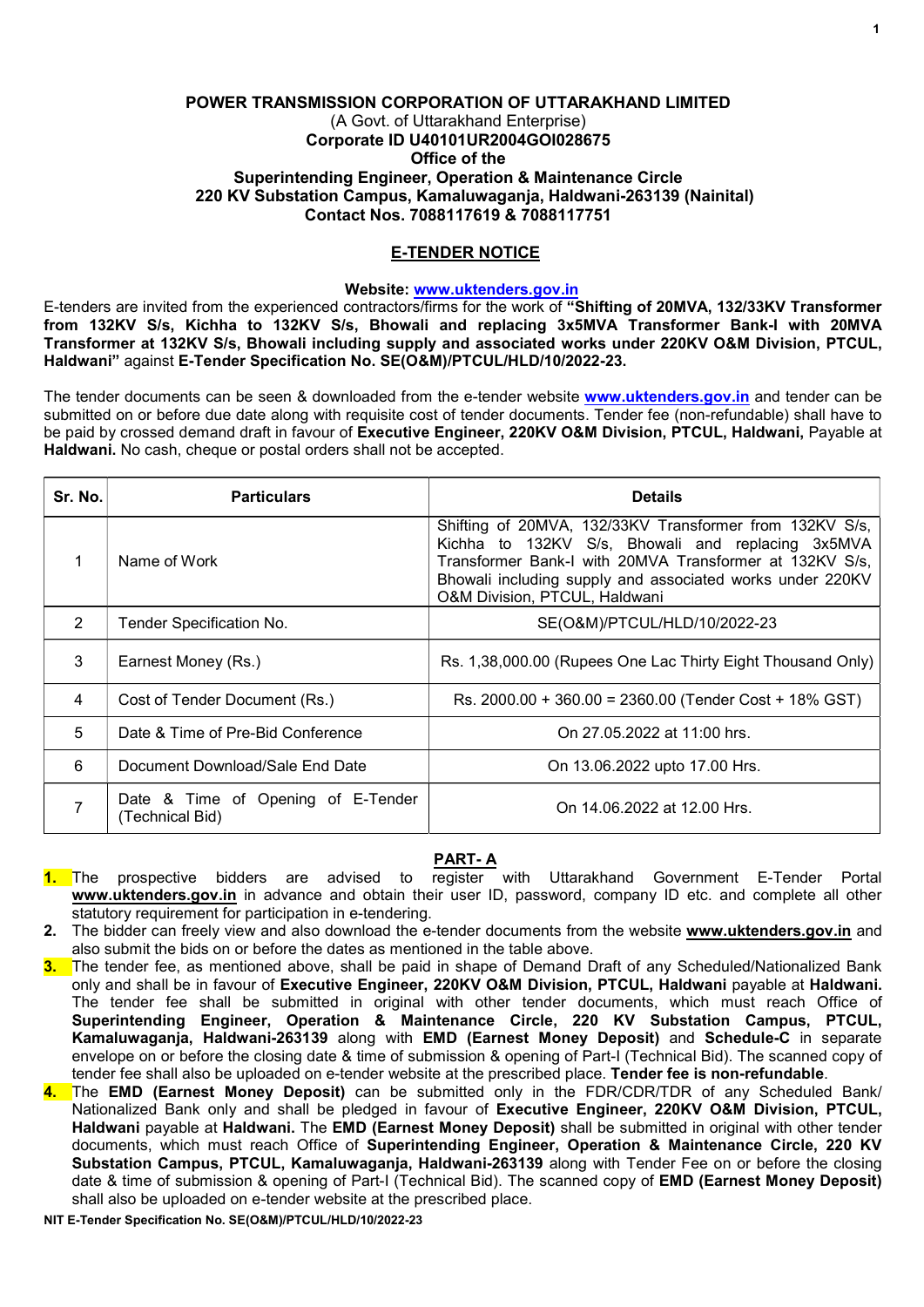# POWER TRANSMISSION CORPORATION OF UTTARAKHAND LIMITED (A Govt. of Uttarakhand Enterprise) Corporate ID U40101UR2004GOI028675 Office of the Superintending Engineer, Operation & Maintenance Circle 220 KV Substation Campus, Kamaluwaganja, Haldwani-263139 (Nainital) Contact Nos. 7088117619 & 7088117751

# E-TENDER NOTICE

## Website: www.uktenders.gov.in

E-tenders are invited from the experienced contractors/firms for the work of "Shifting of 20MVA, 132/33KV Transformer from 132KV S/s, Kichha to 132KV S/s, Bhowali and replacing 3x5MVA Transformer Bank-I with 20MVA Transformer at 132KV S/s, Bhowali including supply and associated works under 220KV O&M Division, PTCUL, Haldwani" against E-Tender Specification No. SE(O&M)/PTCUL/HLD/10/2022-23.

The tender documents can be seen & downloaded from the e-tender website www.uktenders.gov.in and tender can be submitted on or before due date along with requisite cost of tender documents. Tender fee (non-refundable) shall have to be paid by crossed demand draft in favour of Executive Engineer, 220KV O&M Division, PTCUL, Haldwani, Payable at Haldwani. No cash, cheque or postal orders shall not be accepted.

| Sr. No.       | <b>Particulars</b>                                    | <b>Details</b>                                                                                                                                                                                                                                                        |
|---------------|-------------------------------------------------------|-----------------------------------------------------------------------------------------------------------------------------------------------------------------------------------------------------------------------------------------------------------------------|
|               | Name of Work                                          | Shifting of 20MVA, 132/33KV Transformer from 132KV S/s,<br>Kichha to 132KV S/s, Bhowali and replacing 3x5MVA<br>Transformer Bank-I with 20MVA Transformer at 132KV S/s,<br>Bhowali including supply and associated works under 220KV<br>O&M Division, PTCUL, Haldwani |
| $\mathcal{P}$ | Tender Specification No.                              | SE(O&M)/PTCUL/HLD/10/2022-23                                                                                                                                                                                                                                          |
| 3             | Earnest Money (Rs.)                                   | Rs. 1,38,000.00 (Rupees One Lac Thirty Eight Thousand Only)                                                                                                                                                                                                           |
| 4             | Cost of Tender Document (Rs.)                         | Rs. 2000.00 + 360.00 = 2360.00 (Tender Cost + 18% GST)                                                                                                                                                                                                                |
| 5             | Date & Time of Pre-Bid Conference                     | On 27.05.2022 at 11:00 hrs.                                                                                                                                                                                                                                           |
| 6             | Document Download/Sale End Date                       | On 13.06.2022 upto 17.00 Hrs.                                                                                                                                                                                                                                         |
|               | Date & Time of Opening of E-Tender<br>(Technical Bid) | On 14.06.2022 at 12.00 Hrs.                                                                                                                                                                                                                                           |

# PART- A

- 1. The prospective bidders are advised to register with Uttarakhand Government E-Tender Portal www.uktenders.gov.in in advance and obtain their user ID, password, company ID etc. and complete all other statutory requirement for participation in e-tendering.
- 2. The bidder can freely view and also download the e-tender documents from the website www.uktenders.gov.in and also submit the bids on or before the dates as mentioned in the table above.
- 3. The tender fee, as mentioned above, shall be paid in shape of Demand Draft of any Scheduled/Nationalized Bank only and shall be in favour of Executive Engineer, 220KV O&M Division, PTCUL, Haldwani payable at Haldwani. The tender fee shall be submitted in original with other tender documents, which must reach Office of Superintending Engineer, Operation & Maintenance Circle, 220 KV Substation Campus, PTCUL, Kamaluwaganja, Haldwani-263139 along with EMD (Earnest Money Deposit) and Schedule-C in separate envelope on or before the closing date & time of submission & opening of Part-I (Technical Bid). The scanned copy of tender fee shall also be uploaded on e-tender website at the prescribed place. Tender fee is non-refundable.
- 4. The EMD (Earnest Money Deposit) can be submitted only in the FDR/CDR/TDR of any Scheduled Bank/ Nationalized Bank only and shall be pledged in favour of Executive Engineer, 220KV O&M Division, PTCUL, Haldwani payable at Haldwani. The EMD (Earnest Money Deposit) shall be submitted in original with other tender documents, which must reach Office of Superintending Engineer, Operation & Maintenance Circle, 220 KV Substation Campus, PTCUL, Kamaluwaganja, Haldwani-263139 along with Tender Fee on or before the closing date & time of submission & opening of Part-I (Technical Bid). The scanned copy of EMD (Earnest Money Deposit) shall also be uploaded on e-tender website at the prescribed place.

NIT E-Tender Specification No. SE(O&M)/PTCUL/HLD/10/2022-23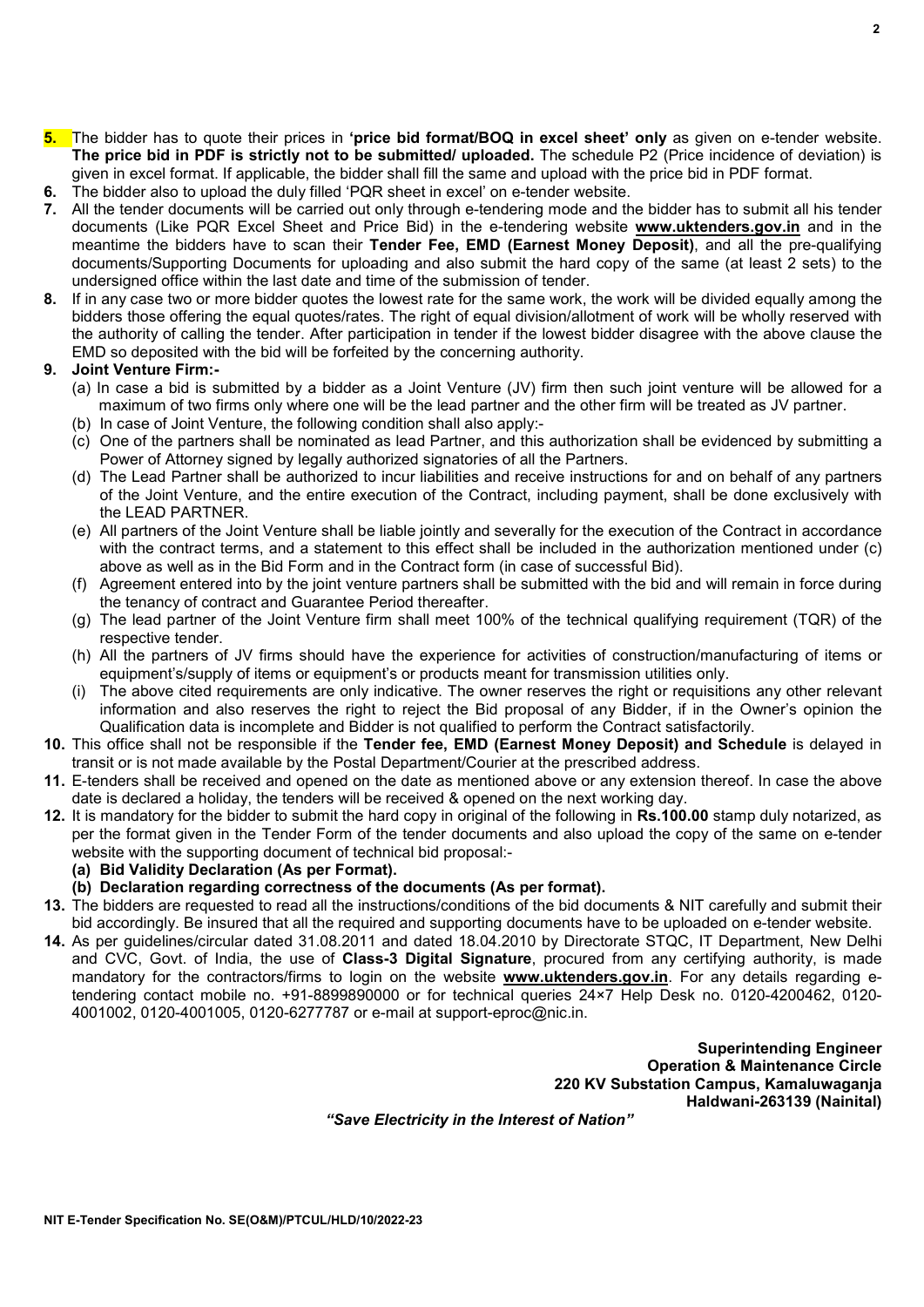$\overline{2}$ 

- 5. The bidder has to quote their prices in 'price bid format/BOQ in excel sheet' only as given on e-tender website. The price bid in PDF is strictly not to be submitted/ uploaded. The schedule P2 (Price incidence of deviation) is given in excel format. If applicable, the bidder shall fill the same and upload with the price bid in PDF format.
- 6. The bidder also to upload the duly filled 'PQR sheet in excel' on e-tender website.
- 7. All the tender documents will be carried out only through e-tendering mode and the bidder has to submit all his tender documents (Like PQR Excel Sheet and Price Bid) in the e-tendering website **www.uktenders.gov.in** and in the meantime the bidders have to scan their Tender Fee, EMD (Earnest Money Deposit), and all the pre-qualifying documents/Supporting Documents for uploading and also submit the hard copy of the same (at least 2 sets) to the undersigned office within the last date and time of the submission of tender.
- 8. If in any case two or more bidder quotes the lowest rate for the same work, the work will be divided equally among the bidders those offering the equal quotes/rates. The right of equal division/allotment of work will be wholly reserved with the authority of calling the tender. After participation in tender if the lowest bidder disagree with the above clause the EMD so deposited with the bid will be forfeited by the concerning authority.

# 9. Joint Venture Firm:-

- (a) In case a bid is submitted by a bidder as a Joint Venture (JV) firm then such joint venture will be allowed for a maximum of two firms only where one will be the lead partner and the other firm will be treated as JV partner.
- (b) In case of Joint Venture, the following condition shall also apply:-
- (c) One of the partners shall be nominated as lead Partner, and this authorization shall be evidenced by submitting a Power of Attorney signed by legally authorized signatories of all the Partners.
- (d) The Lead Partner shall be authorized to incur liabilities and receive instructions for and on behalf of any partners of the Joint Venture, and the entire execution of the Contract, including payment, shall be done exclusively with the LEAD PARTNER.
- (e) All partners of the Joint Venture shall be liable jointly and severally for the execution of the Contract in accordance with the contract terms, and a statement to this effect shall be included in the authorization mentioned under (c) above as well as in the Bid Form and in the Contract form (in case of successful Bid).
- (f) Agreement entered into by the joint venture partners shall be submitted with the bid and will remain in force during the tenancy of contract and Guarantee Period thereafter.
- (g) The lead partner of the Joint Venture firm shall meet 100% of the technical qualifying requirement (TQR) of the respective tender.
- (h) All the partners of JV firms should have the experience for activities of construction/manufacturing of items or equipment's/supply of items or equipment's or products meant for transmission utilities only.
- (i) The above cited requirements are only indicative. The owner reserves the right or requisitions any other relevant information and also reserves the right to reject the Bid proposal of any Bidder, if in the Owner's opinion the Qualification data is incomplete and Bidder is not qualified to perform the Contract satisfactorily.
- 10. This office shall not be responsible if the Tender fee, EMD (Earnest Money Deposit) and Schedule is delayed in transit or is not made available by the Postal Department/Courier at the prescribed address.
- 11. E-tenders shall be received and opened on the date as mentioned above or any extension thereof. In case the above date is declared a holiday, the tenders will be received & opened on the next working day.
- 12. It is mandatory for the bidder to submit the hard copy in original of the following in Rs.100.00 stamp duly notarized, as per the format given in the Tender Form of the tender documents and also upload the copy of the same on e-tender website with the supporting document of technical bid proposal:-
	- (a) Bid Validity Declaration (As per Format).
	- (b) Declaration regarding correctness of the documents (As per format).
- 13. The bidders are requested to read all the instructions/conditions of the bid documents & NIT carefully and submit their bid accordingly. Be insured that all the required and supporting documents have to be uploaded on e-tender website.
- 14. As per guidelines/circular dated 31.08.2011 and dated 18.04.2010 by Directorate STQC, IT Department, New Delhi and CVC, Govt. of India, the use of Class-3 Digital Signature, procured from any certifying authority, is made mandatory for the contractors/firms to login on the website www.uktenders.gov.in. For any details regarding etendering contact mobile no. +91-8899890000 or for technical queries 24×7 Help Desk no. 0120-4200462, 0120- 4001002, 0120-4001005, 0120-6277787 or e-mail at support-eproc@nic.in.

Superintending Engineer Operation & Maintenance Circle 220 KV Substation Campus, Kamaluwaganja Haldwani-263139 (Nainital)

"Save Electricity in the Interest of Nation"